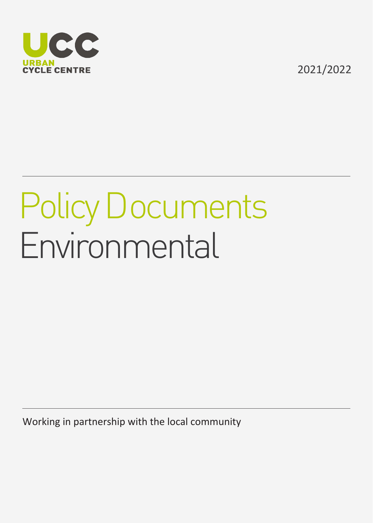

2021/2022

## Policy Documents Environmental

Working in partnership with the local community